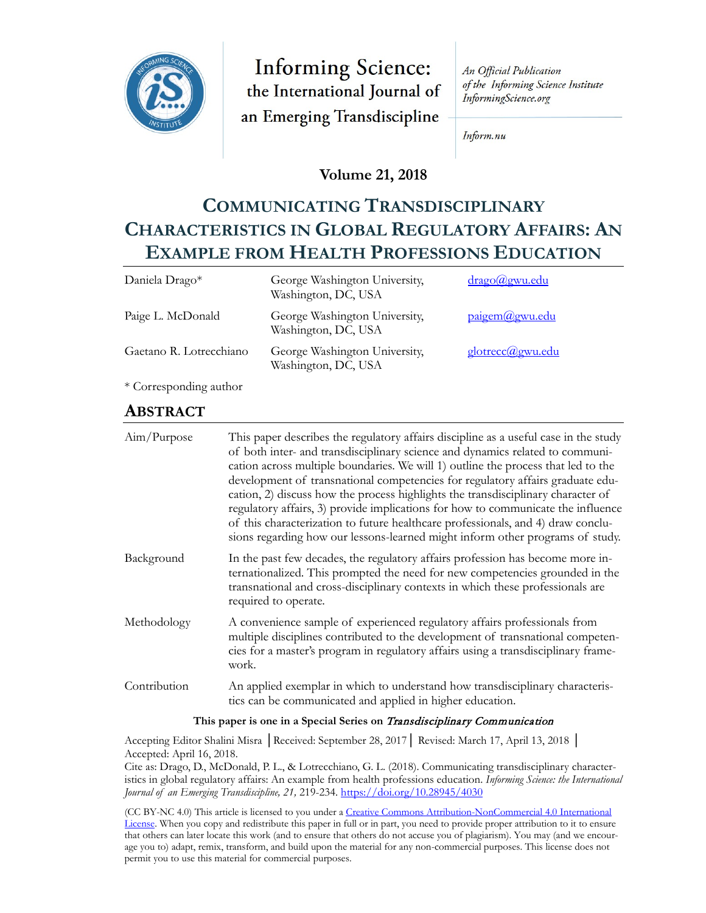

**Informing Science:** the International Journal of an Emerging Transdiscipline

An Official Publication of the Informing Science Institute InformingScience.org

Inform.nu

### **Volume 21, 2018**

# **COMMUNICATING TRANSDISCIPLINARY CHARACTERISTICS IN GLOBAL REGULATORY AFFAIRS: AN EXAMPLE FROM HEALTH PROFESSIONS EDUCATION**

| Daniela Drago*          | George Washington University,<br>Washington, DC, USA | drago@gwu.edu    |
|-------------------------|------------------------------------------------------|------------------|
| Paige L. McDonald       | George Washington University,<br>Washington, DC, USA | paigem@gwu.edu   |
| Gaetano R. Lotrecchiano | George Washington University,<br>Washington, DC, USA | glotrecc@gwu.edu |

\* Corresponding author

### **ABSTRACT**

| Aim/Purpose  | This paper describes the regulatory affairs discipline as a useful case in the study<br>of both inter- and transdisciplinary science and dynamics related to communi-<br>cation across multiple boundaries. We will 1) outline the process that led to the<br>development of transnational competencies for regulatory affairs graduate edu-<br>cation, 2) discuss how the process highlights the transdisciplinary character of<br>regulatory affairs, 3) provide implications for how to communicate the influence<br>of this characterization to future healthcare professionals, and 4) draw conclu-<br>sions regarding how our lessons-learned might inform other programs of study. |
|--------------|-------------------------------------------------------------------------------------------------------------------------------------------------------------------------------------------------------------------------------------------------------------------------------------------------------------------------------------------------------------------------------------------------------------------------------------------------------------------------------------------------------------------------------------------------------------------------------------------------------------------------------------------------------------------------------------------|
| Background   | In the past few decades, the regulatory affairs profession has become more in-<br>ternationalized. This prompted the need for new competencies grounded in the<br>transnational and cross-disciplinary contexts in which these professionals are<br>required to operate.                                                                                                                                                                                                                                                                                                                                                                                                                  |
| Methodology  | A convenience sample of experienced regulatory affairs professionals from<br>multiple disciplines contributed to the development of transnational competen-<br>cies for a master's program in regulatory affairs using a transdisciplinary frame-<br>work.                                                                                                                                                                                                                                                                                                                                                                                                                                |
| Contribution | An applied exemplar in which to understand how transdisciplinary characteris-<br>tics can be communicated and applied in higher education.                                                                                                                                                                                                                                                                                                                                                                                                                                                                                                                                                |
|              | ли в село в село в общество в село в село в село в село в село в село в село в село в село в село в село в сел                                                                                                                                                                                                                                                                                                                                                                                                                                                                                                                                                                            |

#### **This paper is one in a Special Series on** Transdisciplinary Communication

Accepting Editor Shalini Misra │Received: September 28, 2017│ Revised: March 17, April 13, 2018 │ Accepted: April 16, 2018.

Cite as: Drago, D., McDonald, P. L., & Lotrecchiano, G. L. (2018). Communicating transdisciplinary characteristics in global regulatory affairs: An example from health professions education. *Informing Science: the International Journal of an Emerging Transdiscipline, 21,* 219-234. <https://doi.org/10.28945/4030>

(CC BY-NC 4.0) This article is licensed to you under a Creative Commons Attribution[-NonCommercial 4.0 International](https://creativecommons.org/licenses/by-nc/4.0/)  [License.](https://creativecommons.org/licenses/by-nc/4.0/) When you copy and redistribute this paper in full or in part, you need to provide proper attribution to it to ensure that others can later locate this work (and to ensure that others do not accuse you of plagiarism). You may (and we encourage you to) adapt, remix, transform, and build upon the material for any non-commercial purposes. This license does not permit you to use this material for commercial purposes.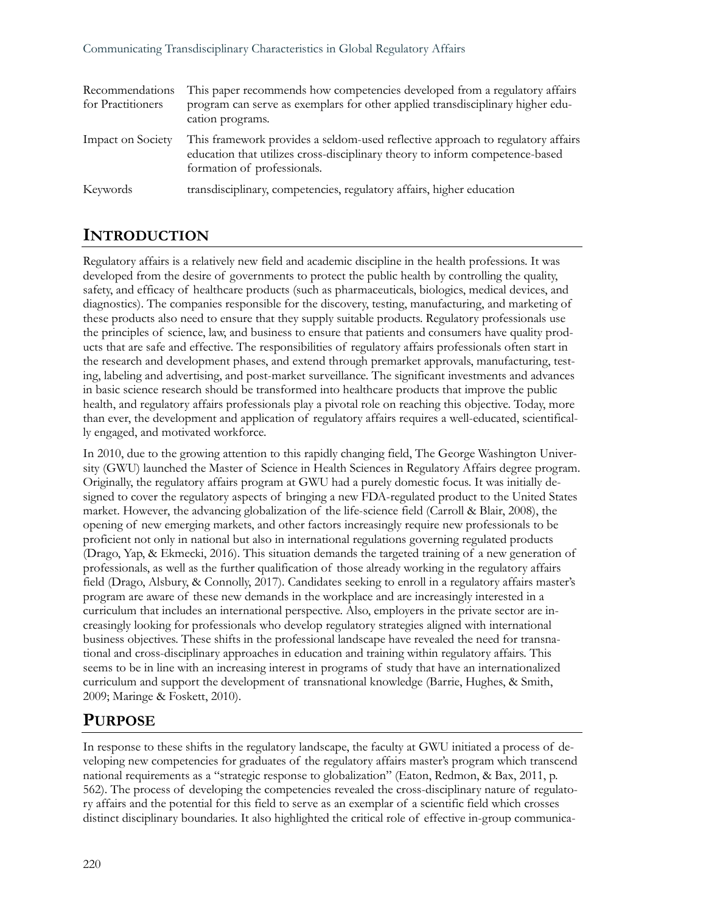| Recommendations<br>for Practitioners | This paper recommends how competencies developed from a regulatory affairs<br>program can serve as exemplars for other applied transdisciplinary higher edu-<br>cation programs.               |
|--------------------------------------|------------------------------------------------------------------------------------------------------------------------------------------------------------------------------------------------|
| Impact on Society                    | This framework provides a seldom-used reflective approach to regulatory affairs<br>education that utilizes cross-disciplinary theory to inform competence-based<br>formation of professionals. |
| Keywords                             | transdisciplinary, competencies, regulatory affairs, higher education                                                                                                                          |

### **INTRODUCTION**

Regulatory affairs is a relatively new field and academic discipline in the health professions. It was developed from the desire of governments to protect the public health by controlling the quality, safety, and efficacy of healthcare products (such as pharmaceuticals, biologics, medical devices, and diagnostics). The companies responsible for the discovery, testing, manufacturing, and marketing of these products also need to ensure that they supply suitable products. Regulatory professionals use the principles of science, law, and business to ensure that patients and consumers have quality products that are safe and effective. The responsibilities of regulatory affairs professionals often start in the research and development phases, and extend through premarket approvals, manufacturing, testing, labeling and advertising, and post-market surveillance. The significant investments and advances in basic science research should be transformed into healthcare products that improve the public health, and regulatory affairs professionals play a pivotal role on reaching this objective. Today, more than ever, the development and application of regulatory affairs requires a well-educated, scientifically engaged, and motivated workforce.

In 2010, due to the growing attention to this rapidly changing field, The George Washington University (GWU) launched the Master of Science in Health Sciences in Regulatory Affairs degree program. Originally, the regulatory affairs program at GWU had a purely domestic focus. It was initially designed to cover the regulatory aspects of bringing a new FDA-regulated product to the United States market. However, the advancing globalization of the life-science field (Carroll & Blair, 2008), the opening of new emerging markets, and other factors increasingly require new professionals to be proficient not only in national but also in international regulations governing regulated products (Drago, Yap, & Ekmecki, 2016). This situation demands the targeted training of a new generation of professionals, as well as the further qualification of those already working in the regulatory affairs field (Drago, Alsbury, & Connolly, 2017). Candidates seeking to enroll in a regulatory affairs master's program are aware of these new demands in the workplace and are increasingly interested in a curriculum that includes an international perspective. Also, employers in the private sector are increasingly looking for professionals who develop regulatory strategies aligned with international business objectives. These shifts in the professional landscape have revealed the need for transnational and cross-disciplinary approaches in education and training within regulatory affairs. This seems to be in line with an increasing interest in programs of study that have an internationalized curriculum and support the development of transnational knowledge (Barrie, Hughes, & Smith, 2009; Maringe & Foskett, 2010).

# **PURPOSE**

In response to these shifts in the regulatory landscape, the faculty at GWU initiated a process of developing new competencies for graduates of the regulatory affairs master's program which transcend national requirements as a "strategic response to globalization" (Eaton, Redmon, & Bax, 2011, p. 562). The process of developing the competencies revealed the cross-disciplinary nature of regulatory affairs and the potential for this field to serve as an exemplar of a scientific field which crosses distinct disciplinary boundaries. It also highlighted the critical role of effective in-group communica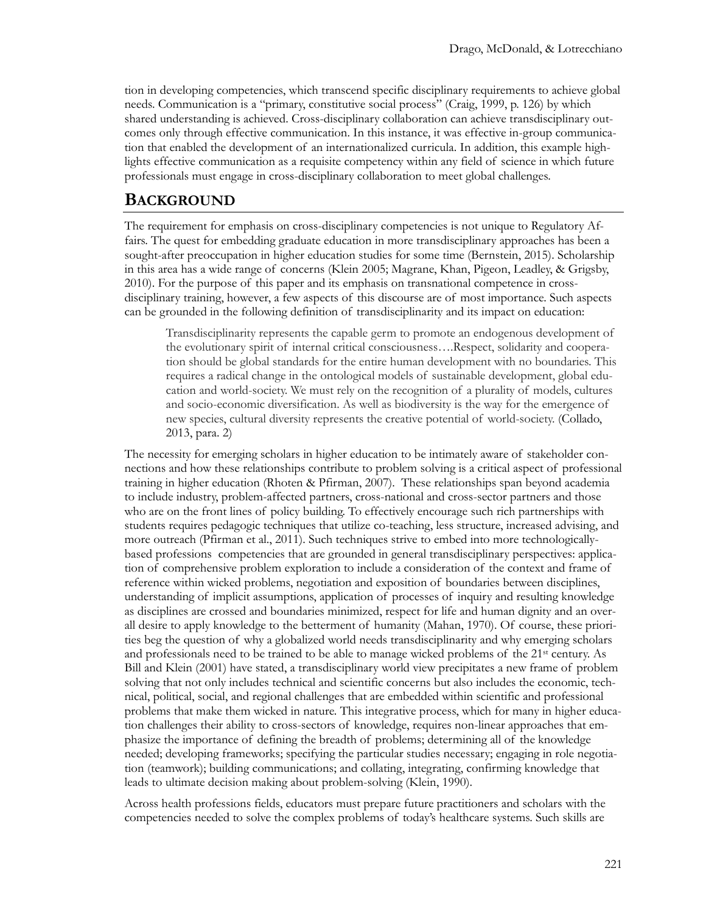tion in developing competencies, which transcend specific disciplinary requirements to achieve global needs. Communication is a "primary, constitutive social process" (Craig, 1999, p. 126) by which shared understanding is achieved. Cross-disciplinary collaboration can achieve transdisciplinary outcomes only through effective communication. In this instance, it was effective in-group communication that enabled the development of an internationalized curricula. In addition, this example highlights effective communication as a requisite competency within any field of science in which future professionals must engage in cross-disciplinary collaboration to meet global challenges.

### **BACKGROUND**

The requirement for emphasis on cross-disciplinary competencies is not unique to Regulatory Affairs. The quest for embedding graduate education in more transdisciplinary approaches has been a sought-after preoccupation in higher education studies for some time (Bernstein, 2015). Scholarship in this area has a wide range of concerns (Klein 2005; Magrane, Khan, Pigeon, Leadley, & Grigsby, 2010). For the purpose of this paper and its emphasis on transnational competence in crossdisciplinary training, however, a few aspects of this discourse are of most importance. Such aspects can be grounded in the following definition of transdisciplinarity and its impact on education:

Transdisciplinarity represents the capable germ to promote an endogenous development of the evolutionary spirit of internal critical consciousness….Respect, solidarity and cooperation should be global standards for the entire human development with no boundaries. This requires a radical change in the ontological models of sustainable development, global education and world-society. We must rely on the recognition of a plurality of models, cultures and socio-economic diversification. As well as biodiversity is the way for the emergence of new species, cultural diversity represents the creative potential of world-society. (Collado, 2013, para. 2)

The necessity for emerging scholars in higher education to be intimately aware of stakeholder connections and how these relationships contribute to problem solving is a critical aspect of professional training in higher education (Rhoten & Pfirman, 2007). These relationships span beyond academia to include industry, problem-affected partners, cross-national and cross-sector partners and those who are on the front lines of policy building. To effectively encourage such rich partnerships with students requires pedagogic techniques that utilize co-teaching, less structure, increased advising, and more outreach (Pfirman et al., 2011). Such techniques strive to embed into more technologicallybased professions competencies that are grounded in general transdisciplinary perspectives: application of comprehensive problem exploration to include a consideration of the context and frame of reference within wicked problems, negotiation and exposition of boundaries between disciplines, understanding of implicit assumptions, application of processes of inquiry and resulting knowledge as disciplines are crossed and boundaries minimized, respect for life and human dignity and an overall desire to apply knowledge to the betterment of humanity (Mahan, 1970). Of course, these priorities beg the question of why a globalized world needs transdisciplinarity and why emerging scholars and professionals need to be trained to be able to manage wicked problems of the 21st century. As Bill and Klein (2001) have stated, a transdisciplinary world view precipitates a new frame of problem solving that not only includes technical and scientific concerns but also includes the economic, technical, political, social, and regional challenges that are embedded within scientific and professional problems that make them wicked in nature. This integrative process, which for many in higher education challenges their ability to cross-sectors of knowledge, requires non-linear approaches that emphasize the importance of defining the breadth of problems; determining all of the knowledge needed; developing frameworks; specifying the particular studies necessary; engaging in role negotiation (teamwork); building communications; and collating, integrating, confirming knowledge that leads to ultimate decision making about problem-solving (Klein, 1990).

Across health professions fields, educators must prepare future practitioners and scholars with the competencies needed to solve the complex problems of today's healthcare systems. Such skills are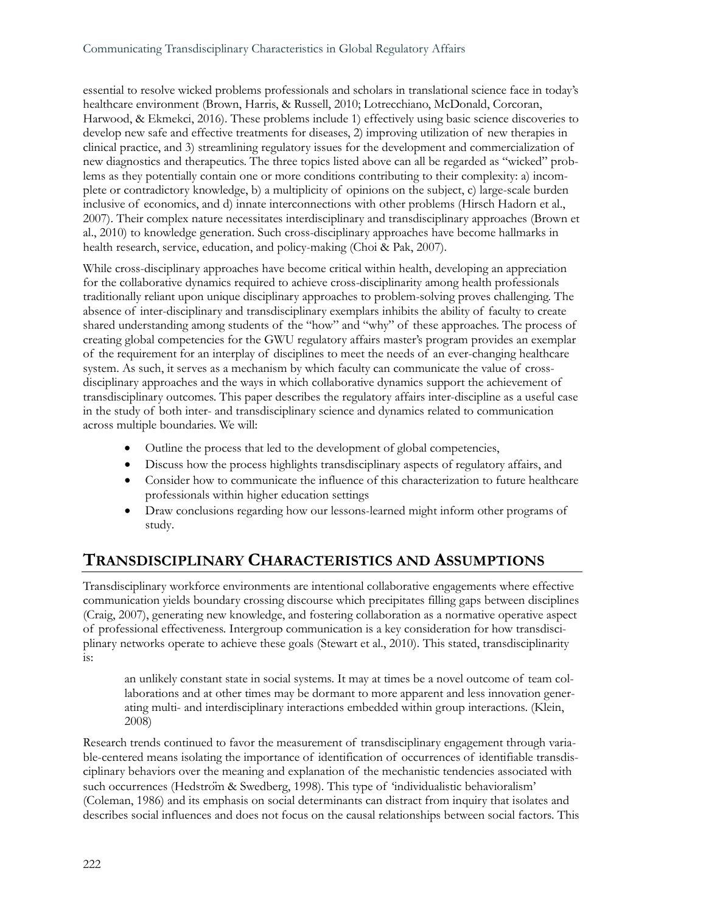essential to resolve wicked problems professionals and scholars in translational science face in today's healthcare environment (Brown, Harris, & Russell, 2010; Lotrecchiano, McDonald, Corcoran, Harwood, & Ekmekci, 2016). These problems include 1) effectively using basic science discoveries to develop new safe and effective treatments for diseases, 2) improving utilization of new therapies in clinical practice, and 3) streamlining regulatory issues for the development and commercialization of new diagnostics and therapeutics. The three topics listed above can all be regarded as "wicked" problems as they potentially contain one or more conditions contributing to their complexity: a) incomplete or contradictory knowledge, b) a multiplicity of opinions on the subject, c) large-scale burden inclusive of economics, and d) innate interconnections with other problems (Hirsch Hadorn et al., 2007). Their complex nature necessitates interdisciplinary and transdisciplinary approaches (Brown et al., 2010) to knowledge generation. Such cross-disciplinary approaches have become hallmarks in health research, service, education, and policy-making (Choi & Pak, 2007).

While cross-disciplinary approaches have become critical within health, developing an appreciation for the collaborative dynamics required to achieve cross-disciplinarity among health professionals traditionally reliant upon unique disciplinary approaches to problem-solving proves challenging. The absence of inter-disciplinary and transdisciplinary exemplars inhibits the ability of faculty to create shared understanding among students of the "how" and "why" of these approaches. The process of creating global competencies for the GWU regulatory affairs master's program provides an exemplar of the requirement for an interplay of disciplines to meet the needs of an ever-changing healthcare system. As such, it serves as a mechanism by which faculty can communicate the value of crossdisciplinary approaches and the ways in which collaborative dynamics support the achievement of transdisciplinary outcomes. This paper describes the regulatory affairs inter-discipline as a useful case in the study of both inter- and transdisciplinary science and dynamics related to communication across multiple boundaries. We will:

- Outline the process that led to the development of global competencies,
- Discuss how the process highlights transdisciplinary aspects of regulatory affairs, and
- Consider how to communicate the influence of this characterization to future healthcare professionals within higher education settings
- Draw conclusions regarding how our lessons-learned might inform other programs of study.

# **TRANSDISCIPLINARY CHARACTERISTICS AND ASSUMPTIONS**

Transdisciplinary workforce environments are intentional collaborative engagements where effective communication yields boundary crossing discourse which precipitates filling gaps between disciplines (Craig, 2007), generating new knowledge, and fostering collaboration as a normative operative aspect of professional effectiveness. Intergroup communication is a key consideration for how transdisciplinary networks operate to achieve these goals (Stewart et al., 2010). This stated, transdisciplinarity is:

an unlikely constant state in social systems. It may at times be a novel outcome of team collaborations and at other times may be dormant to more apparent and less innovation generating multi- and interdisciplinary interactions embedded within group interactions. (Klein, 2008)

Research trends continued to favor the measurement of transdisciplinary engagement through variable-centered means isolating the importance of identification of occurrences of identifiable transdisciplinary behaviors over the meaning and explanation of the mechanistic tendencies associated with such occurrences (Hedstroïm & Swedberg, 1998). This type of 'individualistic behavioralism' (Coleman, 1986) and its emphasis on social determinants can distract from inquiry that isolates and describes social influences and does not focus on the causal relationships between social factors. This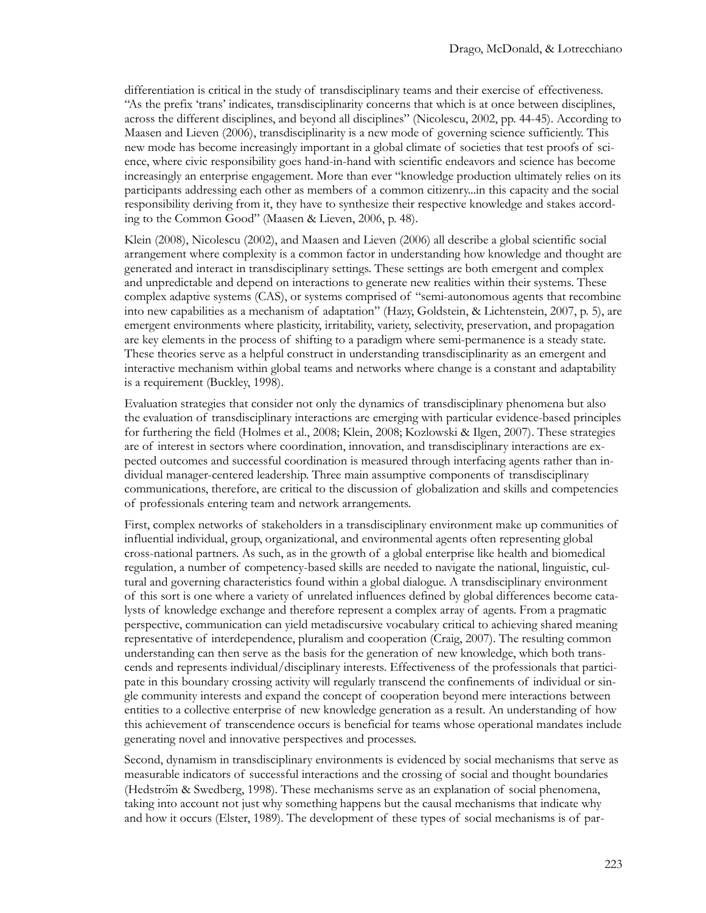differentiation is critical in the study of transdisciplinary teams and their exercise of effectiveness. "As the prefix 'trans' indicates, transdisciplinarity concerns that which is at once between disciplines, across the different disciplines, and beyond all disciplines" (Nicolescu, 2002, pp. 44-45). According to Maasen and Lieven (2006), transdisciplinarity is a new mode of governing science sufficiently. This new mode has become increasingly important in a global climate of societies that test proofs of science, where civic responsibility goes hand-in-hand with scientific endeavors and science has become increasingly an enterprise engagement. More than ever "knowledge production ultimately relies on its participants addressing each other as members of a common citizenry...in this capacity and the social responsibility deriving from it, they have to synthesize their respective knowledge and stakes according to the Common Good" (Maasen & Lieven, 2006, p. 48).

Klein (2008), Nicolescu (2002), and Maasen and Lieven (2006) all describe a global scientific social arrangement where complexity is a common factor in understanding how knowledge and thought are generated and interact in transdisciplinary settings. These settings are both emergent and complex and unpredictable and depend on interactions to generate new realities within their systems. These complex adaptive systems (CAS), or systems comprised of "semi-autonomous agents that recombine into new capabilities as a mechanism of adaptation" (Hazy, Goldstein, & Lichtenstein, 2007, p. 5), are emergent environments where plasticity, irritability, variety, selectivity, preservation, and propagation are key elements in the process of shifting to a paradigm where semi-permanence is a steady state. These theories serve as a helpful construct in understanding transdisciplinarity as an emergent and interactive mechanism within global teams and networks where change is a constant and adaptability is a requirement (Buckley, 1998).

Evaluation strategies that consider not only the dynamics of transdisciplinary phenomena but also the evaluation of transdisciplinary interactions are emerging with particular evidence-based principles for furthering the field (Holmes et al., 2008; Klein, 2008; Kozlowski & Ilgen, 2007). These strategies are of interest in sectors where coordination, innovation, and transdisciplinary interactions are expected outcomes and successful coordination is measured through interfacing agents rather than individual manager-centered leadership. Three main assumptive components of transdisciplinary communications, therefore, are critical to the discussion of globalization and skills and competencies of professionals entering team and network arrangements.

First, complex networks of stakeholders in a transdisciplinary environment make up communities of influential individual, group, organizational, and environmental agents often representing global cross-national partners. As such, as in the growth of a global enterprise like health and biomedical regulation, a number of competency-based skills are needed to navigate the national, linguistic, cultural and governing characteristics found within a global dialogue. A transdisciplinary environment of this sort is one where a variety of unrelated influences defined by global differences become catalysts of knowledge exchange and therefore represent a complex array of agents. From a pragmatic perspective, communication can yield metadiscursive vocabulary critical to achieving shared meaning representative of interdependence, pluralism and cooperation (Craig, 2007). The resulting common understanding can then serve as the basis for the generation of new knowledge, which both transcends and represents individual/disciplinary interests. Effectiveness of the professionals that participate in this boundary crossing activity will regularly transcend the confinements of individual or single community interests and expand the concept of cooperation beyond mere interactions between entities to a collective enterprise of new knowledge generation as a result. An understanding of how this achievement of transcendence occurs is beneficial for teams whose operational mandates include generating novel and innovative perspectives and processes.

Second, dynamism in transdisciplinary environments is evidenced by social mechanisms that serve as measurable indicators of successful interactions and the crossing of social and thought boundaries (Hedström & Swedberg, 1998). These mechanisms serve as an explanation of social phenomena, taking into account not just why something happens but the causal mechanisms that indicate why and how it occurs (Elster, 1989). The development of these types of social mechanisms is of par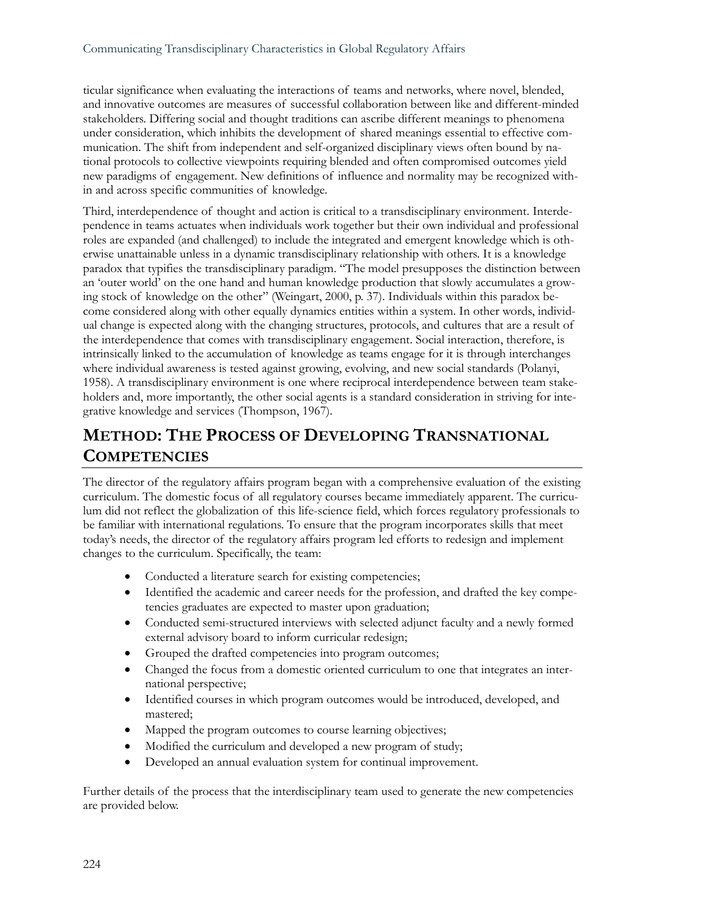ticular significance when evaluating the interactions of teams and networks, where novel, blended, and innovative outcomes are measures of successful collaboration between like and different-minded stakeholders. Differing social and thought traditions can ascribe different meanings to phenomena under consideration, which inhibits the development of shared meanings essential to effective communication. The shift from independent and self-organized disciplinary views often bound by national protocols to collective viewpoints requiring blended and often compromised outcomes yield new paradigms of engagement. New definitions of influence and normality may be recognized within and across specific communities of knowledge.

Third, interdependence of thought and action is critical to a transdisciplinary environment. Interdependence in teams actuates when individuals work together but their own individual and professional roles are expanded (and challenged) to include the integrated and emergent knowledge which is otherwise unattainable unless in a dynamic transdisciplinary relationship with others. It is a knowledge paradox that typifies the transdisciplinary paradigm. "The model presupposes the distinction between an 'outer world' on the one hand and human knowledge production that slowly accumulates a growing stock of knowledge on the other" (Weingart, 2000, p. 37). Individuals within this paradox become considered along with other equally dynamics entities within a system. In other words, individual change is expected along with the changing structures, protocols, and cultures that are a result of the interdependence that comes with transdisciplinary engagement. Social interaction, therefore, is intrinsically linked to the accumulation of knowledge as teams engage for it is through interchanges where individual awareness is tested against growing, evolving, and new social standards (Polanyi, 1958). A transdisciplinary environment is one where reciprocal interdependence between team stakeholders and, more importantly, the other social agents is a standard consideration in striving for integrative knowledge and services (Thompson, 1967).

# **METHOD: THE PROCESS OF DEVELOPING TRANSNATIONAL COMPETENCIES**

The director of the regulatory affairs program began with a comprehensive evaluation of the existing curriculum. The domestic focus of all regulatory courses became immediately apparent. The curriculum did not reflect the globalization of this life-science field, which forces regulatory professionals to be familiar with international regulations. To ensure that the program incorporates skills that meet today's needs, the director of the regulatory affairs program led efforts to redesign and implement changes to the curriculum. Specifically, the team:

- Conducted a literature search for existing competencies;
- Identified the academic and career needs for the profession, and drafted the key competencies graduates are expected to master upon graduation;
- Conducted semi-structured interviews with selected adjunct faculty and a newly formed external advisory board to inform curricular redesign;
- Grouped the drafted competencies into program outcomes;
- Changed the focus from a domestic oriented curriculum to one that integrates an international perspective;
- Identified courses in which program outcomes would be introduced, developed, and mastered;
- Mapped the program outcomes to course learning objectives;
- Modified the curriculum and developed a new program of study;
- Developed an annual evaluation system for continual improvement.

Further details of the process that the interdisciplinary team used to generate the new competencies are provided below.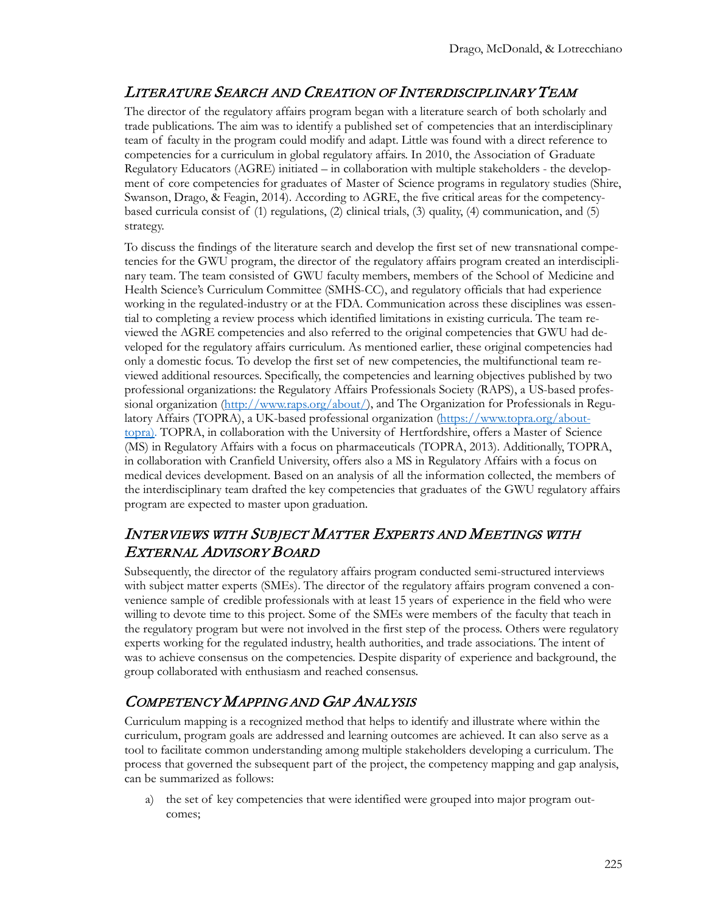## LITERATURE SEARCH AND CREATION OF INTERDISCIPLINARY TEAM

The director of the regulatory affairs program began with a literature search of both scholarly and trade publications. The aim was to identify a published set of competencies that an interdisciplinary team of faculty in the program could modify and adapt. Little was found with a direct reference to competencies for a curriculum in global regulatory affairs. In 2010, the Association of Graduate Regulatory Educators (AGRE) initiated – in collaboration with multiple stakeholders - the development of core competencies for graduates of Master of Science programs in regulatory studies (Shire, Swanson, Drago, & Feagin, 2014). According to AGRE, the five critical areas for the competencybased curricula consist of (1) regulations, (2) clinical trials, (3) quality, (4) communication, and (5) strategy.

To discuss the findings of the literature search and develop the first set of new transnational competencies for the GWU program, the director of the regulatory affairs program created an interdisciplinary team. The team consisted of GWU faculty members, members of the School of Medicine and Health Science's Curriculum Committee (SMHS-CC), and regulatory officials that had experience working in the regulated-industry or at the FDA. Communication across these disciplines was essential to completing a review process which identified limitations in existing curricula. The team reviewed the AGRE competencies and also referred to the original competencies that GWU had developed for the regulatory affairs curriculum. As mentioned earlier, these original competencies had only a domestic focus. To develop the first set of new competencies, the multifunctional team reviewed additional resources. Specifically, the competencies and learning objectives published by two professional organizations: the Regulatory Affairs Professionals Society (RAPS), a US-based profes-sional organization [\(http://www.raps.org/about/\)](http://www.raps.org/about/), and The Organization for Professionals in Regu-latory Affairs (TOPRA), a UK-based professional organization [\(https://www.topra.org/about](https://www.topra.org/about-topra)[topra](https://www.topra.org/about-topra)). TOPRA, in collaboration with the University of Hertfordshire, offers a Master of Science (MS) in Regulatory Affairs with a focus on pharmaceuticals (TOPRA, 2013). Additionally, TOPRA, in collaboration with Cranfield University, offers also a MS in Regulatory Affairs with a focus on medical devices development. Based on an analysis of all the information collected, the members of the interdisciplinary team drafted the key competencies that graduates of the GWU regulatory affairs program are expected to master upon graduation.

### INTERVIEWS WITH SUBJECT MATTER EXPERTS AND MEETINGS WITH EXTERNAL ADVISORY BOARD

Subsequently, the director of the regulatory affairs program conducted semi-structured interviews with subject matter experts (SMEs). The director of the regulatory affairs program convened a convenience sample of credible professionals with at least 15 years of experience in the field who were willing to devote time to this project. Some of the SMEs were members of the faculty that teach in the regulatory program but were not involved in the first step of the process. Others were regulatory experts working for the regulated industry, health authorities, and trade associations. The intent of was to achieve consensus on the competencies. Despite disparity of experience and background, the group collaborated with enthusiasm and reached consensus.

# COMPETENCY MAPPING AND GAP ANALYSIS

Curriculum mapping is a recognized method that helps to identify and illustrate where within the curriculum, program goals are addressed and learning outcomes are achieved. It can also serve as a tool to facilitate common understanding among multiple stakeholders developing a curriculum. The process that governed the subsequent part of the project, the competency mapping and gap analysis, can be summarized as follows:

a) the set of key competencies that were identified were grouped into major program outcomes;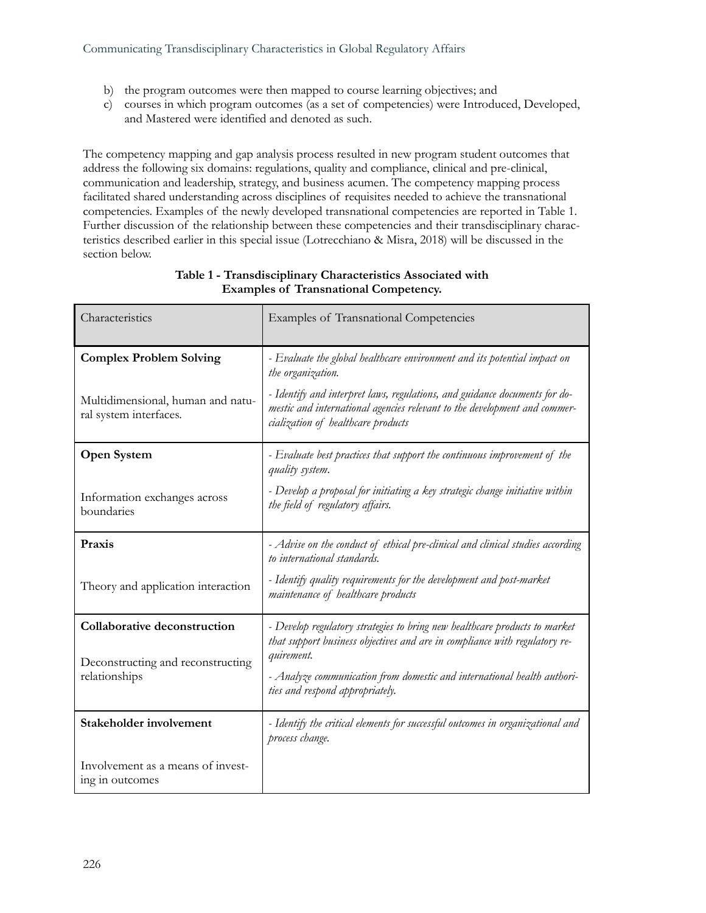- b) the program outcomes were then mapped to course learning objectives; and
- c) courses in which program outcomes (as a set of competencies) were Introduced, Developed, and Mastered were identified and denoted as such.

The competency mapping and gap analysis process resulted in new program student outcomes that address the following six domains: regulations, quality and compliance, clinical and pre-clinical, communication and leadership, strategy, and business acumen. The competency mapping process facilitated shared understanding across disciplines of requisites needed to achieve the transnational competencies. Examples of the newly developed transnational competencies are reported in Table 1. Further discussion of the relationship between these competencies and their transdisciplinary characteristics described earlier in this special issue (Lotrecchiano & Misra, 2018) will be discussed in the section below.

| Characteristics                                                                    | Examples of Transnational Competencies                                                                                                                                                        |
|------------------------------------------------------------------------------------|-----------------------------------------------------------------------------------------------------------------------------------------------------------------------------------------------|
| <b>Complex Problem Solving</b>                                                     | - Evaluate the global healthcare environment and its potential impact on<br>the organization.                                                                                                 |
| Multidimensional, human and natu-<br>ral system interfaces.                        | - Identify and interpret laws, regulations, and guidance documents for do-<br>mestic and international agencies relevant to the development and commer-<br>cialization of healthcare products |
| Open System                                                                        | - Evaluate best practices that support the continuous improvement of the<br>quality system.                                                                                                   |
| Information exchanges across<br>boundaries                                         | - Develop a proposal for initiating a key strategic change initiative within<br>the field of regulatory affairs.                                                                              |
| Praxis                                                                             | - Advise on the conduct of ethical pre-clinical and clinical studies according<br>to international standards.                                                                                 |
| Theory and application interaction                                                 | - Identify quality requirements for the development and post-market<br>maintenance of healthcare products                                                                                     |
| Collaborative deconstruction<br>Deconstructing and reconstructing<br>relationships | - Develop regulatory strategies to bring new healthcare products to market<br>that support business objectives and are in compliance with regulatory re-<br>quirement.                        |
|                                                                                    | - Analyze communication from domestic and international health authori-<br>ties and respond appropriately.                                                                                    |
| Stakeholder involvement                                                            | - Identify the critical elements for successful outcomes in organizational and<br>process change.                                                                                             |
| Involvement as a means of invest-<br>ing in outcomes                               |                                                                                                                                                                                               |

#### **Table 1 - Transdisciplinary Characteristics Associated with Examples of Transnational Competency.**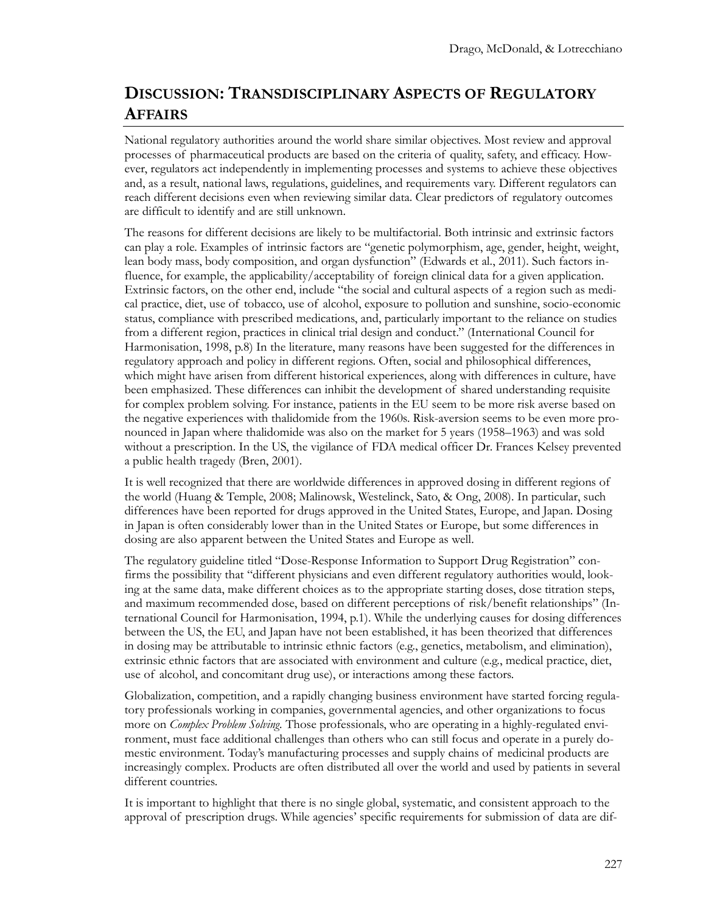# **DISCUSSION: TRANSDISCIPLINARY ASPECTS OF REGULATORY AFFAIRS**

National regulatory authorities around the world share similar objectives. Most review and approval processes of pharmaceutical products are based on the criteria of quality, safety, and efficacy. However, regulators act independently in implementing processes and systems to achieve these objectives and, as a result, national laws, regulations, guidelines, and requirements vary. Different regulators can reach different decisions even when reviewing similar data. Clear predictors of regulatory outcomes are difficult to identify and are still unknown.

The reasons for different decisions are likely to be multifactorial. Both intrinsic and extrinsic factors can play a role. Examples of intrinsic factors are "genetic polymorphism, age, gender, height, weight, lean body mass, body composition, and organ dysfunction" (Edwards et al., 2011). Such factors influence, for example, the applicability/acceptability of foreign clinical data for a given application. Extrinsic factors, on the other end, include "the social and cultural aspects of a region such as medical practice, diet, use of tobacco, use of alcohol, exposure to pollution and sunshine, socio-economic status, compliance with prescribed medications, and, particularly important to the reliance on studies from a different region, practices in clinical trial design and conduct." (International Council for Harmonisation, 1998, p.8) In the literature, many reasons have been suggested for the differences in regulatory approach and policy in different regions. Often, social and philosophical differences, which might have arisen from different historical experiences, along with differences in culture, have been emphasized. These differences can inhibit the development of shared understanding requisite for complex problem solving. For instance, patients in the EU seem to be more risk averse based on the negative experiences with thalidomide from the 1960s. Risk-aversion seems to be even more pronounced in Japan where thalidomide was also on the market for 5 years (1958–1963) and was sold without a prescription. In the US, the vigilance of FDA medical officer Dr. Frances Kelsey prevented a public health tragedy (Bren, 2001).

It is well recognized that there are worldwide differences in approved dosing in different regions of the world (Huang & Temple, 2008; Malinowsk, Westelinck, Sato, & Ong, 2008). In particular, such differences have been reported for drugs approved in the United States, Europe, and Japan. Dosing in Japan is often considerably lower than in the United States or Europe, but some differences in dosing are also apparent between the United States and Europe as well.

The regulatory guideline titled "Dose-Response Information to Support Drug Registration" confirms the possibility that "different physicians and even different regulatory authorities would, looking at the same data, make different choices as to the appropriate starting doses, dose titration steps, and maximum recommended dose, based on different perceptions of risk/benefit relationships" (International Council for Harmonisation, 1994, p.1). While the underlying causes for dosing differences between the US, the EU, and Japan have not been established, it has been theorized that differences in dosing may be attributable to intrinsic ethnic factors (e.g., genetics, metabolism, and elimination), extrinsic ethnic factors that are associated with environment and culture (e.g., medical practice, diet, use of alcohol, and concomitant drug use), or interactions among these factors.

Globalization, competition, and a rapidly changing business environment have started forcing regulatory professionals working in companies, governmental agencies, and other organizations to focus more on *Complex Problem Solving.* Those professionals, who are operating in a highly-regulated environment, must face additional challenges than others who can still focus and operate in a purely domestic environment. Today's manufacturing processes and supply chains of medicinal products are increasingly complex. Products are often distributed all over the world and used by patients in several different countries.

It is important to highlight that there is no single global, systematic, and consistent approach to the approval of prescription drugs. While agencies' specific requirements for submission of data are dif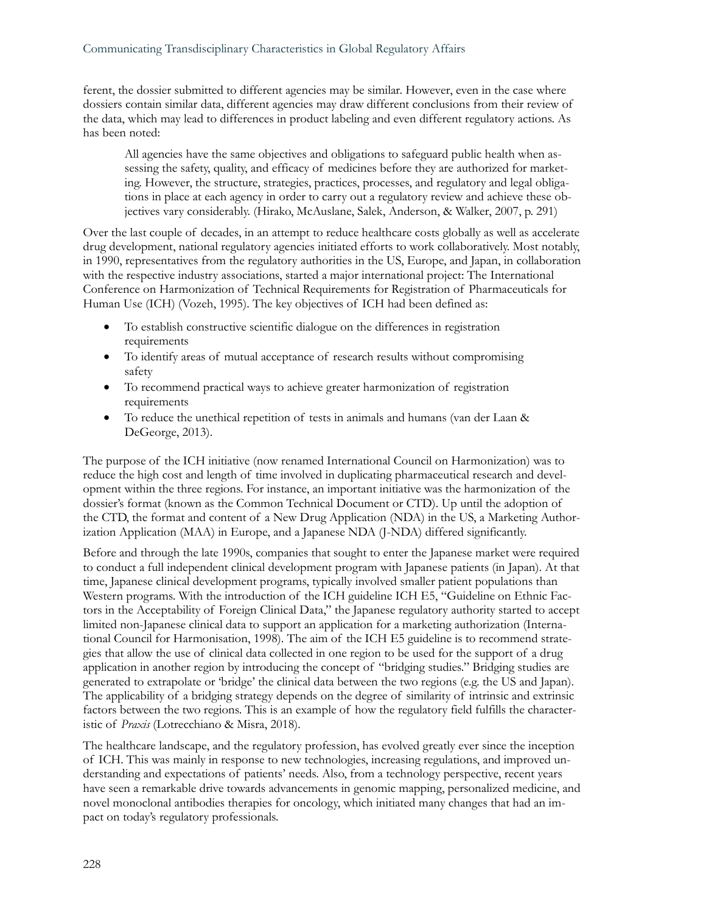ferent, the dossier submitted to different agencies may be similar. However, even in the case where dossiers contain similar data, different agencies may draw different conclusions from their review of the data, which may lead to differences in product labeling and even different regulatory actions. As has been noted:

All agencies have the same objectives and obligations to safeguard public health when assessing the safety, quality, and efficacy of medicines before they are authorized for marketing. However, the structure, strategies, practices, processes, and regulatory and legal obligations in place at each agency in order to carry out a regulatory review and achieve these objectives vary considerably. (Hirako, McAuslane, Salek, Anderson, & Walker, 2007, p. 291)

Over the last couple of decades, in an attempt to reduce healthcare costs globally as well as accelerate drug development, national regulatory agencies initiated efforts to work collaboratively. Most notably, in 1990, representatives from the regulatory authorities in the US, Europe, and Japan, in collaboration with the respective industry associations, started a major international project: The International Conference on Harmonization of Technical Requirements for Registration of Pharmaceuticals for Human Use (ICH) (Vozeh, 1995). The key objectives of ICH had been defined as:

- To establish constructive scientific dialogue on the differences in registration requirements
- To identify areas of mutual acceptance of research results without compromising safety
- To recommend practical ways to achieve greater harmonization of registration requirements
- To reduce the unethical repetition of tests in animals and humans (van der Laan & DeGeorge, 2013).

The purpose of the ICH initiative (now renamed International Council on Harmonization) was to reduce the high cost and length of time involved in duplicating pharmaceutical research and development within the three regions. For instance, an important initiative was the harmonization of the dossier's format (known as the Common Technical Document or CTD). Up until the adoption of the CTD, the format and content of a New Drug Application (NDA) in the US, a Marketing Authorization Application (MAA) in Europe, and a Japanese NDA (J-NDA) differed significantly.

Before and through the late 1990s, companies that sought to enter the Japanese market were required to conduct a full independent clinical development program with Japanese patients (in Japan). At that time, Japanese clinical development programs, typically involved smaller patient populations than Western programs. With the introduction of the ICH guideline ICH E5, "Guideline on Ethnic Factors in the Acceptability of Foreign Clinical Data," the Japanese regulatory authority started to accept limited non-Japanese clinical data to support an application for a marketing authorization (International Council for Harmonisation, 1998). The aim of the ICH E5 guideline is to recommend strategies that allow the use of clinical data collected in one region to be used for the support of a drug application in another region by introducing the concept of "bridging studies." Bridging studies are generated to extrapolate or 'bridge' the clinical data between the two regions (e.g. the US and Japan). The applicability of a bridging strategy depends on the degree of similarity of intrinsic and extrinsic factors between the two regions. This is an example of how the regulatory field fulfills the characteristic of *Praxis* (Lotrecchiano & Misra, 2018)*.*

The healthcare landscape, and the regulatory profession, has evolved greatly ever since the inception of ICH. This was mainly in response to new technologies, increasing regulations, and improved understanding and expectations of patients' needs. Also, from a technology perspective, recent years have seen a remarkable drive towards advancements in genomic mapping, personalized medicine, and novel monoclonal antibodies therapies for oncology, which initiated many changes that had an impact on today's regulatory professionals.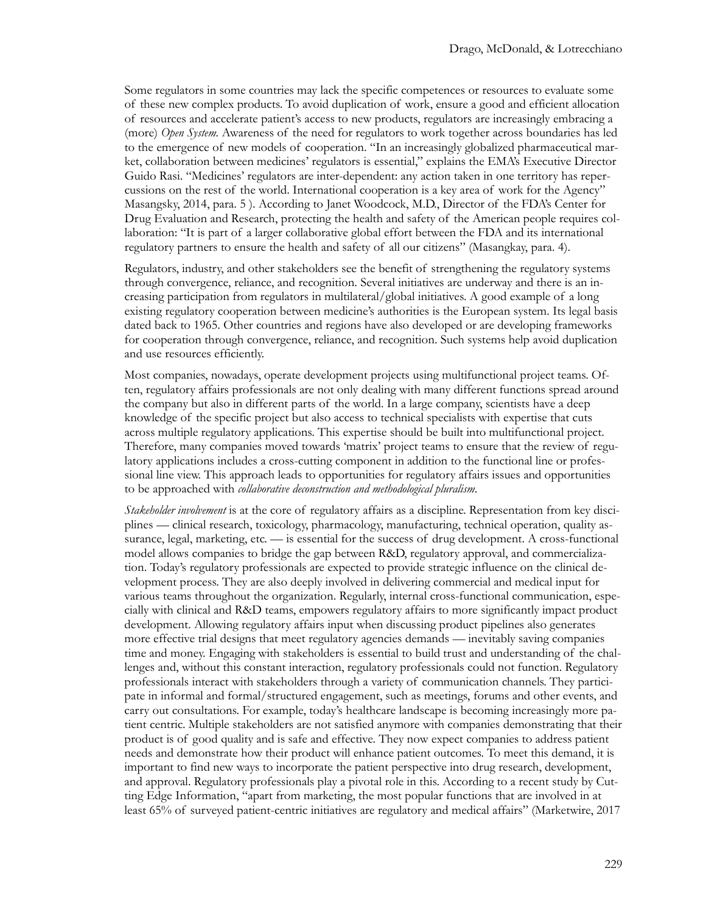Some regulators in some countries may lack the specific competences or resources to evaluate some of these new complex products. To avoid duplication of work, ensure a good and efficient allocation of resources and accelerate patient's access to new products, regulators are increasingly embracing a (more) *Open System.* Awareness of the need for regulators to work together across boundaries has led to the emergence of new models of cooperation. "In an increasingly globalized pharmaceutical market, collaboration between medicines' regulators is essential," explains the EMA's Executive Director Guido Rasi. "Medicines' regulators are inter-dependent: any action taken in one territory has repercussions on the rest of the world. International cooperation is a key area of work for the Agency" Masangsky, 2014, para. 5 ). According to Janet Woodcock, M.D., Director of the FDA's Center for Drug Evaluation and Research, protecting the health and safety of the American people requires collaboration: "It is part of a larger collaborative global effort between the FDA and its international regulatory partners to ensure the health and safety of all our citizens" (Masangkay, para. 4).

Regulators, industry, and other stakeholders see the benefit of strengthening the regulatory systems through convergence, reliance, and recognition. Several initiatives are underway and there is an increasing participation from regulators in multilateral/global initiatives. A good example of a long existing regulatory cooperation between medicine's authorities is the European system. Its legal basis dated back to 1965. Other countries and regions have also developed or are developing frameworks for cooperation through convergence, reliance, and recognition. Such systems help avoid duplication and use resources efficiently.

Most companies, nowadays, operate development projects using multifunctional project teams. Often, regulatory affairs professionals are not only dealing with many different functions spread around the company but also in different parts of the world. In a large company, scientists have a deep knowledge of the specific project but also access to technical specialists with expertise that cuts across multiple regulatory applications. This expertise should be built into multifunctional project. Therefore, many companies moved towards 'matrix' project teams to ensure that the review of regulatory applications includes a cross-cutting component in addition to the functional line or professional line view. This approach leads to opportunities for regulatory affairs issues and opportunities to be approached with *collaborative deconstruction and methodological pluralism.*

*Stakeholder involvement* is at the core of regulatory affairs as a discipline. Representation from key disciplines — clinical research, toxicology, pharmacology, manufacturing, technical operation, quality assurance, legal, marketing, etc. — is essential for the success of drug development. A cross-functional model allows companies to bridge the gap between R&D, regulatory approval, and commercialization. Today's regulatory professionals are expected to provide strategic influence on the clinical development process. They are also deeply involved in delivering commercial and medical input for various teams throughout the organization. Regularly, internal cross-functional communication, especially with clinical and R&D teams, empowers regulatory affairs to more significantly impact product development. Allowing regulatory affairs input when discussing product pipelines also generates more effective trial designs that meet regulatory agencies demands — inevitably saving companies time and money. Engaging with stakeholders is essential to build trust and understanding of the challenges and, without this constant interaction, regulatory professionals could not function. Regulatory professionals interact with stakeholders through a variety of communication channels. They participate in informal and formal/structured engagement, such as meetings, forums and other events, and carry out consultations. For example, today's healthcare landscape is becoming increasingly more patient centric. Multiple stakeholders are not satisfied anymore with companies demonstrating that their product is of good quality and is safe and effective. They now expect companies to address patient needs and demonstrate how their product will enhance patient outcomes. To meet this demand, it is important to find new ways to incorporate the patient perspective into drug research, development, and approval. Regulatory professionals play a pivotal role in this. According to a recent study by Cutting Edge Information, "apart from marketing, the most popular functions that are involved in at least 65% of surveyed patient-centric initiatives are regulatory and medical affairs" (Marketwire, 2017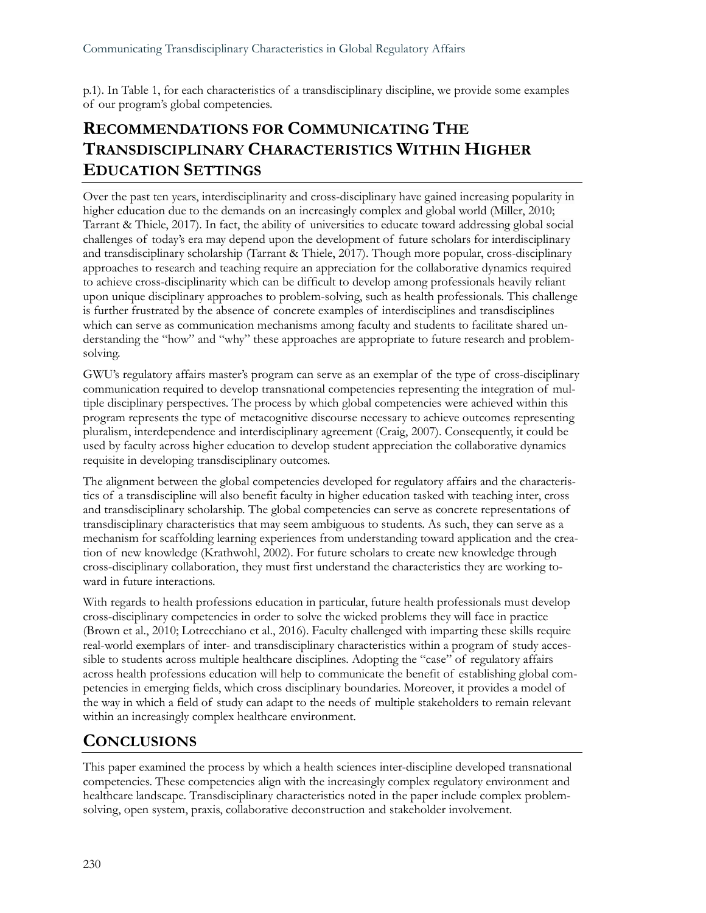p.1). In Table 1, for each characteristics of a transdisciplinary discipline, we provide some examples of our program's global competencies.

# **RECOMMENDATIONS FOR COMMUNICATING THE TRANSDISCIPLINARY CHARACTERISTICS WITHIN HIGHER EDUCATION SETTINGS**

Over the past ten years, interdisciplinarity and cross-disciplinary have gained increasing popularity in higher education due to the demands on an increasingly complex and global world (Miller, 2010; Tarrant & Thiele, 2017). In fact, the ability of universities to educate toward addressing global social challenges of today's era may depend upon the development of future scholars for interdisciplinary and transdisciplinary scholarship (Tarrant & Thiele, 2017). Though more popular, cross-disciplinary approaches to research and teaching require an appreciation for the collaborative dynamics required to achieve cross-disciplinarity which can be difficult to develop among professionals heavily reliant upon unique disciplinary approaches to problem-solving, such as health professionals. This challenge is further frustrated by the absence of concrete examples of interdisciplines and transdisciplines which can serve as communication mechanisms among faculty and students to facilitate shared understanding the "how" and "why" these approaches are appropriate to future research and problemsolving.

GWU's regulatory affairs master's program can serve as an exemplar of the type of cross-disciplinary communication required to develop transnational competencies representing the integration of multiple disciplinary perspectives. The process by which global competencies were achieved within this program represents the type of metacognitive discourse necessary to achieve outcomes representing pluralism, interdependence and interdisciplinary agreement (Craig, 2007). Consequently, it could be used by faculty across higher education to develop student appreciation the collaborative dynamics requisite in developing transdisciplinary outcomes.

The alignment between the global competencies developed for regulatory affairs and the characteristics of a transdiscipline will also benefit faculty in higher education tasked with teaching inter, cross and transdisciplinary scholarship. The global competencies can serve as concrete representations of transdisciplinary characteristics that may seem ambiguous to students. As such, they can serve as a mechanism for scaffolding learning experiences from understanding toward application and the creation of new knowledge (Krathwohl, 2002). For future scholars to create new knowledge through cross-disciplinary collaboration, they must first understand the characteristics they are working toward in future interactions.

With regards to health professions education in particular, future health professionals must develop cross-disciplinary competencies in order to solve the wicked problems they will face in practice (Brown et al., 2010; Lotrecchiano et al., 2016). Faculty challenged with imparting these skills require real-world exemplars of inter- and transdisciplinary characteristics within a program of study accessible to students across multiple healthcare disciplines. Adopting the "case" of regulatory affairs across health professions education will help to communicate the benefit of establishing global competencies in emerging fields, which cross disciplinary boundaries. Moreover, it provides a model of the way in which a field of study can adapt to the needs of multiple stakeholders to remain relevant within an increasingly complex healthcare environment.

# **CONCLUSIONS**

This paper examined the process by which a health sciences inter-discipline developed transnational competencies. These competencies align with the increasingly complex regulatory environment and healthcare landscape. Transdisciplinary characteristics noted in the paper include complex problemsolving, open system, praxis, collaborative deconstruction and stakeholder involvement.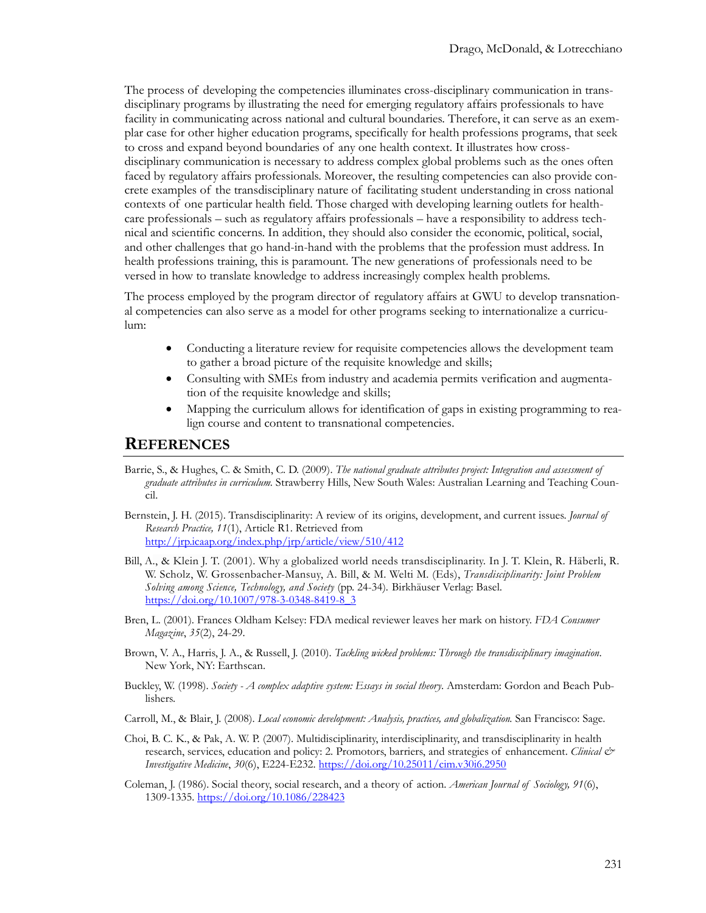The process of developing the competencies illuminates cross-disciplinary communication in transdisciplinary programs by illustrating the need for emerging regulatory affairs professionals to have facility in communicating across national and cultural boundaries. Therefore, it can serve as an exemplar case for other higher education programs, specifically for health professions programs, that seek to cross and expand beyond boundaries of any one health context. It illustrates how crossdisciplinary communication is necessary to address complex global problems such as the ones often faced by regulatory affairs professionals. Moreover, the resulting competencies can also provide concrete examples of the transdisciplinary nature of facilitating student understanding in cross national contexts of one particular health field. Those charged with developing learning outlets for healthcare professionals – such as regulatory affairs professionals – have a responsibility to address technical and scientific concerns. In addition, they should also consider the economic, political, social, and other challenges that go hand-in-hand with the problems that the profession must address. In health professions training, this is paramount. The new generations of professionals need to be versed in how to translate knowledge to address increasingly complex health problems.

The process employed by the program director of regulatory affairs at GWU to develop transnational competencies can also serve as a model for other programs seeking to internationalize a curriculum:

- Conducting a literature review for requisite competencies allows the development team to gather a broad picture of the requisite knowledge and skills;
- Consulting with SMEs from industry and academia permits verification and augmentation of the requisite knowledge and skills;
- Mapping the curriculum allows for identification of gaps in existing programming to realign course and content to transnational competencies.

#### **REFERENCES**

- Barrie, S., & Hughes, C. & Smith, C. D. (2009). *The national graduate attributes project: Integration and assessment of graduate attributes in curriculum.* Strawberry Hills, New South Wales: Australian Learning and Teaching Council.
- Bernstein, J. H. (2015). Transdisciplinarity: A review of its origins, development, and current issues. *Journal of Research Practice, 11*(1), Article R1. Retrieved from <http://jrp.icaap.org/index.php/jrp/article/view/510/412>
- Bill, A., & Klein J. T. (2001). Why a globalized world needs transdisciplinarity. In J. T. Klein, R. Häberli, R. W. Scholz, W. Grossenbacher-Mansuy, A. Bill, & M. Welti M. (Eds), *Transdisciplinarity: Joint Problem Solving among Science, Technology, and Society* (pp. 24-34)*.* Birkhäuser Verlag: Basel. [https://doi.org/10.1007/978](https://doi.org/10.1007/978-3-0348-8419-8_3)-3-0348-8419-8\_3
- Bren, L. (2001). Frances Oldham Kelsey: FDA medical reviewer leaves her mark on history. *FDA Consumer Magazine*, *35*(2), 24-29.
- Brown, V. A., Harris, J. A., & Russell, J. (2010). *Tackling wicked problems: Through the transdisciplinary imagination*. New York, NY: Earthscan.
- Buckley, W. (1998). *Society - A complex adaptive system: Essays in social theory*. Amsterdam: Gordon and Beach Publishers.
- Carroll, M., & Blair, J. (2008). *Local economic development: Analysis, practices, and globalization.* San Francisco: Sage.
- Choi, B. C. K., & Pak, A. W. P. (2007). Multidisciplinarity, interdisciplinarity, and transdisciplinarity in health research, services, education and policy: 2. Promotors, barriers, and strategies of enhancement. *Clinical & Investigative Medicine*, *30*(6), E224-E232. [https://doi.org/10.25011/cim.v30i6.295](https://doi.org/10.25011/cim.v30i6.2950)0
- Coleman, J. (1986). Social theory, social research, and a theory of action. *American Journal of Sociology, 91*(6), 1309-1335.<https://doi.org/10.1086/228423>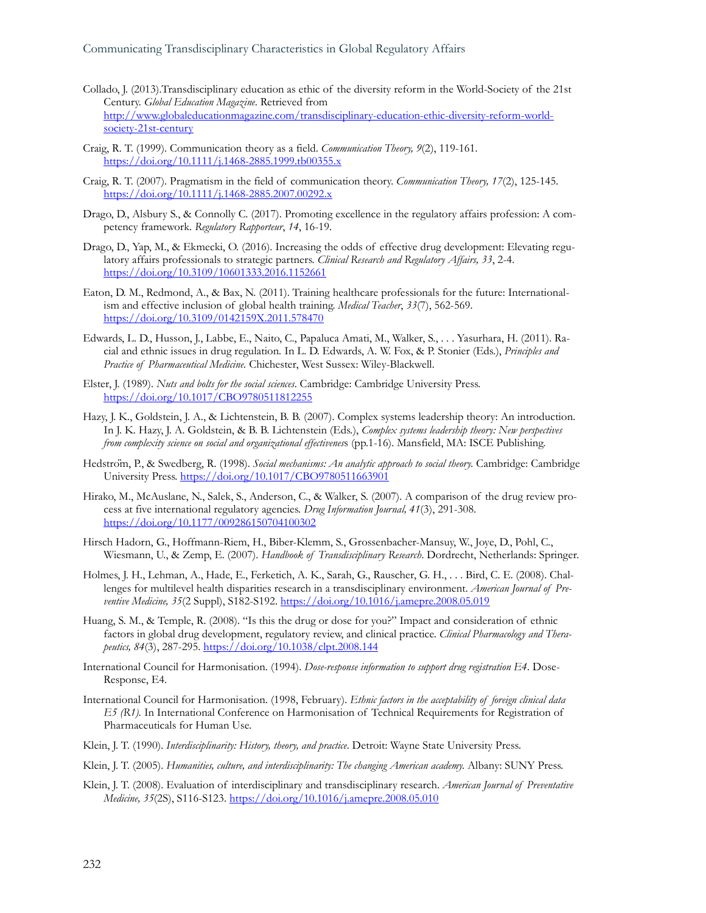- Collado, J. (2013).Transdisciplinary education as ethic of the diversity reform in the World-Society of the 21st Century. *Global Education Magazine*. Retrieved from [http://www.globaleducationmagazine.com/transdisciplinary](http://www.globaleducationmagazine.com/transdisciplinary-education-ethic-diversity-reform-world-society-21st-century)-education-ethic-diversity-reform-world[society-21st-century](http://www.globaleducationmagazine.com/transdisciplinary-education-ethic-diversity-reform-world-society-21st-century)
- Craig, R. T. (1999). Communication theory as a field. *Communication Theory, 9*(2), 119-161. [https://doi.org/10.1111/j.1468](https://doi.org/10.1111/j.1468-2885.1999.tb00355.x)-2885.1999.tb00355.x
- Craig, R. T. (2007). Pragmatism in the field of communication theory. *Communication Theory, 17*(2), 125-145. [https://doi.org/10.1111/j.1468](https://doi.org/10.1111/j.1468-2885.2007.00292.x)-2885.2007.00292.x
- Drago, D., Alsbury S., & Connolly C. (2017). Promoting excellence in the regulatory affairs profession: A competency framework. *Regulatory Rapporteur*, *14*, 16-19.
- Drago, D., Yap, M., & Ekmecki, O. (2016). Increasing the odds of effective drug development: Elevating regulatory affairs professionals to strategic partners. *Clinical Research and Regulatory Affairs, 33*, 2-4. <https://doi.org/10.3109/10601333.2016.1152661>
- Eaton, D. M., Redmond, A., & Bax, N. (2011). Training healthcare professionals for the future: Internationalism and effective inclusion of global health training. *Medical Teacher*, *33*(7), 562-569. <https://doi.org/10.3109/0142159X.2011.578470>
- Edwards, L. D., Husson, J., Labbe, E., Naito, C., Papaluca Amati, M., Walker, S., . . . Yasurhara, H. (2011). Racial and ethnic issues in drug regulation*.* In L. D. Edwards, A. W. Fox, & P. Stonier (Eds.), *Principles and Practice of Pharmaceutical Medicine.* Chichester, West Sussex: Wiley-Blackwell.
- Elster, J. (1989). *Nuts and bolts for the social sciences*. Cambridge: Cambridge University Press. <https://doi.org/10.1017/CBO9780511812255>
- Hazy, J. K., Goldstein, J. A., & Lichtenstein, B. B. (2007). Complex systems leadership theory: An introduction. In J. K. Hazy, J. A. Goldstein, & B. B. Lichtenstein (Eds.), *Complex systems leadership theory: New perspectives from complexity science on social and organizational effectivenes*s (pp.1-16). Mansfield, MA: ISCE Publishing.
- Hedström, P., & Swedberg, R. (1998). *Social mechanisms: An analytic approach to social theory.* Cambridge: Cambridge University Press. <https://doi.org/10.1017/CBO9780511663901>
- Hirako, M., McAuslane, N., Salek, S., Anderson, C., & Walker, S. (2007). A comparison of the drug review process at five international regulatory agencies. *Drug Information Journal, 41*(3), 291-308. <https://doi.org/10.1177/009286150704100302>
- Hirsch Hadorn, G., Hoffmann-Riem, H., Biber-Klemm, S., Grossenbacher-Mansuy, W., Joye, D., Pohl, C., Wiesmann, U., & Zemp, E. (2007). *Handbook of Transdisciplinary Research*. Dordrecht, Netherlands: Springer.
- Holmes, J. H., Lehman, A., Hade, E., Ferketich, A. K., Sarah, G., Rauscher, G. H., . . . Bird, C. E. (2008). Challenges for multilevel health disparities research in a transdisciplinary environment. *American Journal of Preventive Medicine, 35*(2 Suppl), S182-S192. <https://doi.org/10.1016/j.amepre.2008.05.019>
- Huang, S. M., & Temple, R. (2008). "Is this the drug or dose for you?" Impact and consideration of ethnic factors in global drug development, regulatory review, and clinical practice. *Clinical Pharmacology and Therapeutics, 84*(3), 287-295[. https://doi.org/10.1038/clpt.2008.144](https://doi.org/10.1038/clpt.2008.144)
- International Council for Harmonisation. (1994). *Dose-response information to support drug registration E4*. Dose-Response, E4.
- International Council for Harmonisation. (1998, February). *Ethnic factors in the acceptability of foreign clinical data E5 (R1).* In International Conference on Harmonisation of Technical Requirements for Registration of Pharmaceuticals for Human Use.
- Klein, J. T. (1990). *Interdisciplinarity: History, theory, and practice*. Detroit: Wayne State University Press.
- Klein, J. T. (2005). *Humanities, culture, and interdisciplinarity: The changing American academy.* Albany: SUNY Press.
- Klein, J. T. (2008). Evaluation of interdisciplinary and transdisciplinary research. *American Journal of Preventative Medicine, 35*(2S), S116-S123. <https://doi.org/10.1016/j.amepre.2008.05.010>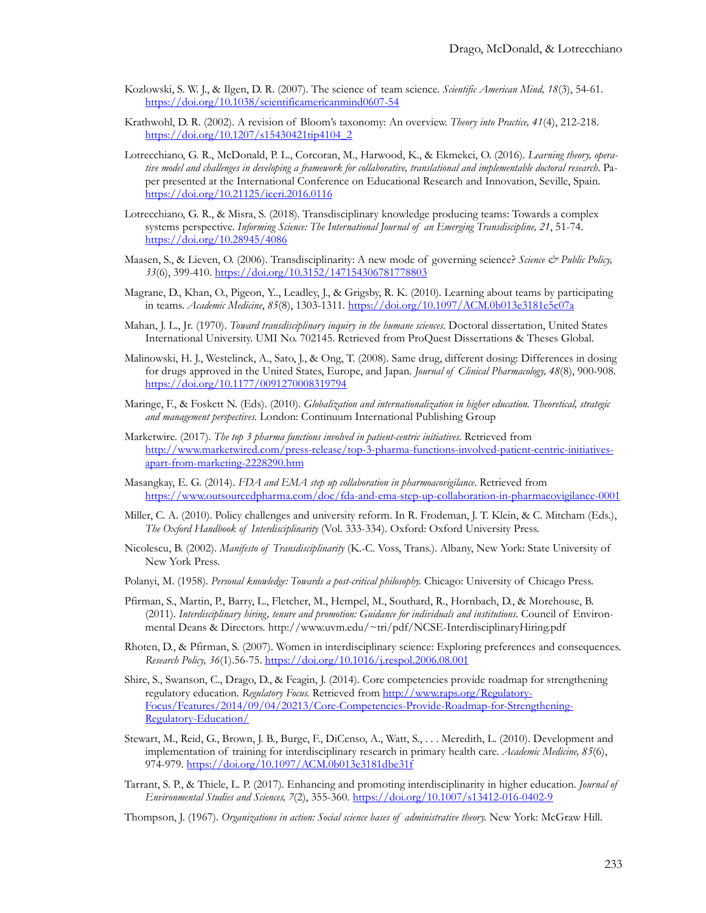- Kozlowski, S. W. J., & Ilgen, D. R. (2007). The science of team science. *Scientific American Mind, 18*(3), 54-61. [https://doi.org/10.1038/scientificamericanmind0607](https://doi.org/10.1038/scientificamericanmind0607-54)-54
- Krathwohl, D. R. (2002). A revision of Bloom's taxonomy: An overview. *Theory into Practice, 41*(4), 212-218. [https://doi.org/10.1207/s15430421tip4104\\_2](https://doi.org/10.1207/s15430421tip4104_2)
- Lotrecchiano, G. R., McDonald, P. L., Corcoran, M., Harwood, K., & Ekmekci, O. (2016). *Learning theory, operative model and challenges in developing a framework for collaborative, translational and implementable doctoral research*. Paper presented at the International Conference on Educational Research and Innovation, Seville, Spain. <https://doi.org/10.21125/iceri.2016.0116>
- Lotrecchiano, G. R., & Misra, S. (2018). Transdisciplinary knowledge producing teams: Towards a complex systems perspective. *Informing Science: The International Journal of an Emerging Transdiscipline, 21*, 51-74. <https://doi.org/10.28945/4086>
- Maasen, S., & Lieven, O. (2006). Transdisciplinarity: A new mode of governing science? *Science & Public Policy, 33*(6), 399-410. <https://doi.org/10.3152/147154306781778803>
- Magrane, D., Khan, O., Pigeon, Y.., Leadley, J., & Grigsby, R. K. (2010). Learning about teams by participating in teams. *Academic Medicine*, *85*(8), 1303-1311. <https://doi.org/10.1097/ACM.0b013e3181e5c07a>
- Mahan, J. L., Jr. (1970). *Toward transdisciplinary inquiry in the humane sciences*. Doctoral dissertation, United States International University. UMI No. 702145. Retrieved from ProQuest Dissertations & Theses Global.
- Malinowski, H. J., Westelinck, A., Sato, J., & Ong, T. (2008). Same drug, different dosing: Differences in dosing for drugs approved in the United States, Europe, and Japan. *Journal of Clinical Pharmacology, 48*(8), 900-908. [https://doi.org/10.1177/009](https://doi.org/10.1177/0091270008319794)1270008319794
- Maringe, F., & Foskett N. (Eds). (2010). *Globalization and internationalization in higher education. Theoretical, strategic and management perspectives*. London: Continuum International Publishing Group
- Marketwire. (2017). *The top 3 pharma functions involved in patient-centric initiatives*. Retrieved from [http://www.marketwired.com/press](http://www.marketwired.com/press-release/top-3-pharma-functions-involved-patient-centric-initiatives-apart-from-marketing-2228290.htm)-release/top-3-pharma-functions-involved-patient-centric-initiativesapart-from[-marketing-2228290.htm](http://www.marketwired.com/press-release/top-3-pharma-functions-involved-patient-centric-initiatives-apart-from-marketing-2228290.htm)
- Masangkay, E. G. (2014). *FDA and EMA step up collaboration in pharmoacovigilance*. Retrieved from [https://www.outsourcedpharma.com/doc/fda](https://www.outsourcedpharma.com/doc/fda-and-ema-step-up-collaboration-in-pharmacovigilance-0001)-and-ema-step-up-collaboration-in-pharmacovigilance-0001
- Miller, C. A. (2010). Policy challenges and university reform. In R. Frodeman, J. T. Klein, & C. Mitcham (Eds.), *The Oxford Handbook of Interdisciplinarity* (Vol. 333-334). Oxford: Oxford University Press.
- Nicolescu, B. (2002). *Manifesto of Transdisciplinarity* (K.-C. Voss, Trans.). Albany, New York: State University of New York Press.
- Polanyi, M. (1958). *Personal knowledge: Towards a post-critical philosophy.* Chicago: University of Chicago Press.
- Pfirman, S., Martin, P., Barry, L., Fletcher, M., Hempel, M., Southard, R., Hornbach, D., & Morehouse, B. (2011). *Interdisciplinary hiring, tenure and promotion: Guidance for individuals and institutions*. Council of Environmental Deans & Directors. http://www.uvm.edu/~tri/pdf/NCSE-InterdisciplinaryHiring.pdf
- Rhoten, D., & Pfirman, S. (2007). Women in interdisciplinary science: Exploring preferences and consequences. *Research Policy, 36*(1).56-75. <https://doi.org/10.1016/j.respol.2006.08.001>
- Shire, S., Swanson, C., Drago, D., & Feagin, J. (2014). Core competencies provide roadmap for strengthening regulatory education. *Regulatory Focus.* Retrieved from [http://www.raps.org/Regulatory](http://www.raps.org/Regulatory-Focus/Features/2014/09/04/20213/Core-Competencies-Provide-Roadmap-for-Strengthening-Regulatory-Education/)-[Focus/Features/2014/09/04/20213/Core](http://www.raps.org/Regulatory-Focus/Features/2014/09/04/20213/Core-Competencies-Provide-Roadmap-for-Strengthening-Regulatory-Education/)-Competencies-Provide-Roadmap-for-Strengthening-Regulatory-[Education/](http://www.raps.org/Regulatory-Focus/Features/2014/09/04/20213/Core-Competencies-Provide-Roadmap-for-Strengthening-Regulatory-Education/)
- Stewart, M., Reid, G., Brown, J. B., Burge, F., DiCenso, A., Watt, S., . . . Meredith, L. (2010). Development and implementation of training for interdisciplinary research in primary health care. *Academic Medicine, 85*(6), 974-979. <https://doi.org/10.1097/ACM.0b013e3181dbe31f>
- Tarrant, S. P., & Thiele, L. P. (2017). Enhancing and promoting interdisciplinarity in higher education. *Journal of Environmental Studies and Sciences, 7*(2), 355-360. [https://doi.org/10.1007/s13412](https://doi.org/10.1007/s13412-016-0402-9)-016-0402-9
- Thompson, J. (1967). *Organizations in action: Social science bases of administrative theory.* New York: McGraw Hill.